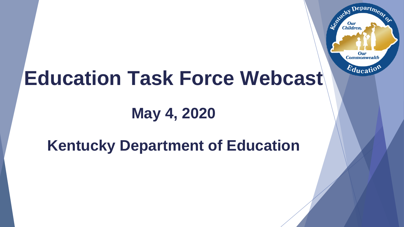

# **Education Task Force Webcast**

## **May 4, 2020**

## **Kentucky Department of Education**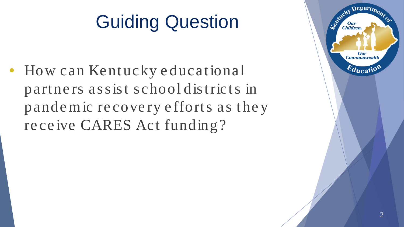# Guiding Question

• How can Kentucky educational partners assist school districts in pande m ic re cove ry e fforts as the y re ce ive CARES Act funding?

2

Departme.

Our **Commonwealth** 

 $E_{\text{ducati}}$ 

Entreky

**Our**<br>Children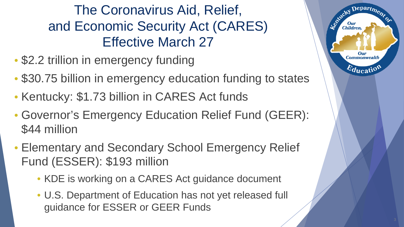The Coronavirus Aid, Relief, and Economic Security Act (CARES) Effective March 27

- \$2.2 trillion in emergency funding
- \$30.75 billion in emergency education funding to states
- Kentucky: \$1.73 billion in CARES Act funds
- Governor's Emergency Education Relief Fund (GEER): \$44 million
- Elementary and Secondary School Emergency Relief Fund (ESSER): \$193 million
	- KDE is working on a CARES Act guidance document
	- U.S. Department of Education has not yet released full guidance for ESSER or GEER Funds

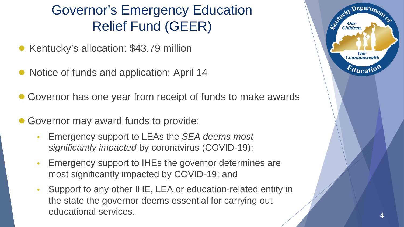### Governor's Emergency Education Relief Fund (GEER)

- Kentucky's allocation: \$43.79 million
- Notice of funds and application: April 14
- Governor has one year from receipt of funds to make awards
- Governor may award funds to provide:
	- Emergency support to LEAs the *SEA deems most significantly impacted* by coronavirus (COVID-19);
	- Emergency support to IHEs the governor determines are most significantly impacted by COVID-19; and
	- Support to any other IHE, LEA or education-related entity in the state the governor deems essential for carrying out educational services. <sup>4</sup>

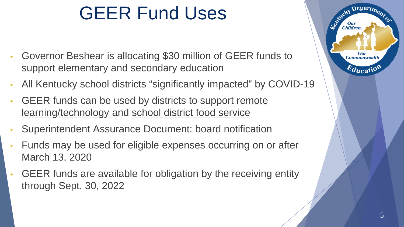## GEER Fund Uses

- Governor Beshear is allocating \$30 million of GEER funds to support elementary and secondary education
- All Kentucky school districts "significantly impacted" by COVID-19
- GEER funds can be used by districts to support remote learning/technology and school district food service
- Superintendent Assurance Document: board notification
- Funds may be used for eligible expenses occurring on or after March 13, 2020
- GEER funds are available for obligation by the receiving entity through Sept. 30, 2022

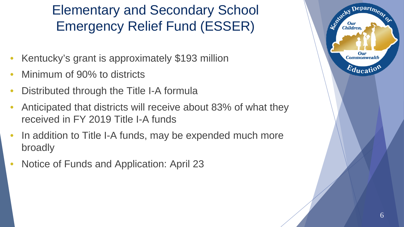### Elementary and Secondary School Emergency Relief Fund (ESSER)

- Kentucky's grant is approximately \$193 million
- Minimum of 90% to districts
- Distributed through the Title I-A formula
- Anticipated that districts will receive about 83% of what they received in FY 2019 Title I-A funds
- In addition to Title I-A funds, may be expended much more broadly
- Notice of Funds and Application: April 23

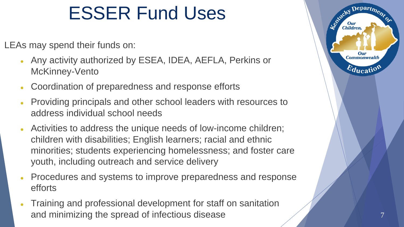## ESSER Fund Uses

LEAs may spend their funds on:

- Any activity authorized by ESEA, IDEA, AEFLA, Perkins or McKinney-Vento
- Coordination of preparedness and response efforts
- Providing principals and other school leaders with resources to address individual school needs
- Activities to address the unique needs of low-income children; children with disabilities; English learners; racial and ethnic minorities; students experiencing homelessness; and foster care youth, including outreach and service delivery
- Procedures and systems to improve preparedness and response efforts
- Training and professional development for staff on sanitation and minimizing the spread of infectious disease

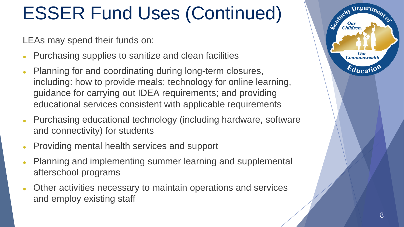# ESSER Fund Uses (Continued)

LEAs may spend their funds on:

- Purchasing supplies to sanitize and clean facilities
- Planning for and coordinating during long-term closures, including: how to provide meals; technology for online learning, guidance for carrying out IDEA requirements; and providing educational services consistent with applicable requirements
- Purchasing educational technology (including hardware, software and connectivity) for students
- Providing mental health services and support
- Planning and implementing summer learning and supplemental afterschool programs
- Other activities necessary to maintain operations and services and employ existing staff

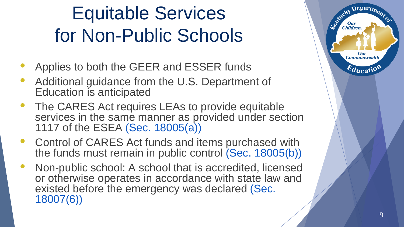# Equitable Services for Non -Public Schools

- 
- Applies to both the GEER and ESSER funds<br>Additional guidance from the U.S. Department of Education is anticipated
- The CARES Act requires LEAs to provide equitable services in the same manner as provided under section 1117 of the ESEA (Sec. 18005(a))
- Control of CARES Act funds and items purchased with the funds must remain in public control (Sec. 18005(b))
- Non-public school: A school that is accredited, licensed or otherwise operates in accordance with state law and existed before the emergency was declared (Sec. 18007(6))